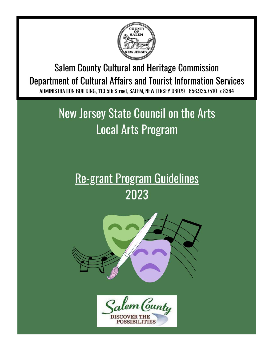

**Salem County Cultural and Heritage Commission Department of Cultural Affairs and Tourist Information Services** ADMINISTRATION BUILDING, 110 5th Street, SALEM, NEW JERSEY 08079 856.935.7510 x 8384

# **New Jersey State Council on the Arts Local Arts Program**

# **Re-grant Program Guidelines** 2023



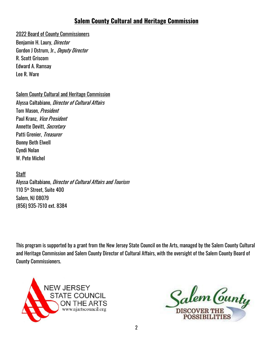#### **Salem County Cultural and Heritage Commission**

#### 2022 Board of County Commissioners

Benjamin H. Laury, *Director* Gordon J Ostrum, Jr., Deputy Director R. Scott Griscom Edward A. Ramsay Lee R. Ware

Salem County Cultural and Heritage Commission

Alyssa Caltabiano, Director of Cultural Affairs Tom Mason, President Paul Kranz, Vice President Annette Devitt, Secretary Patti Grenier, Treasurer Bonny Beth Elwell Cyndi Nolan W. Pete Michel

**Staff** Alyssa Caltabiano, Director of Cultural Affairs and Tourism 110 5th Street, Suite 400 Salem, NJ 08079 (856) 935-7510 ext. 8384

This program is supported by a grant from the New Jersey State Council on the Arts, managed by the Salem County Cultural and Heritage Commission and Salem County Director of Cultural Affairs, with the oversight of the Salem County Board of County Commissioners.



Salem Cunty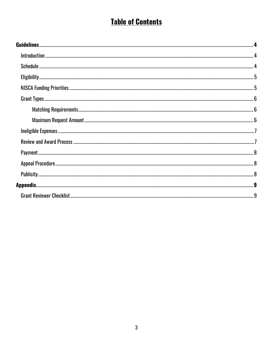# **Table of Contents**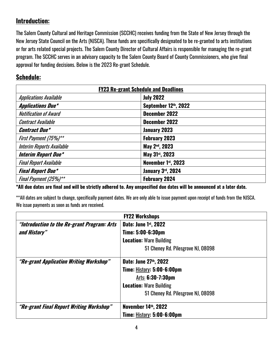### **Introduction:**

The Salem County Cultural and Heritage Commission (SCCHC) receives funding from the State of New Jersey through the New Jersey State Council on the Arts (NJSCA). These funds are specifically designated to be re-granted to arts institutions or for arts related special projects. The Salem County Director of Cultural Affairs is responsible for managing the re-grant program. The SCCHC serves in an advisory capacity to the Salem County Board of County Commissioners, who give final approval for funding decisions. Below is the 2023 Re-grant Schedule.

#### **Schedule:**

| <b>FY23 Re-grant Schedule and Deadlines</b> |                             |
|---------------------------------------------|-----------------------------|
| <b>Applications Available</b>               | <b>July 2022</b>            |
| <b>Applications Due*</b>                    | September 12th, 2022        |
| <b>Notification of Award</b>                | December 2022               |
| <b>Contract Available</b>                   | December 2022               |
| <b>Contract Due*</b>                        | January 2023                |
| First Payment (75%)**                       | <b>February 2023</b>        |
| <b>Interim Reports Available</b>            | May 2 <sup>nd</sup> , 2023  |
| <b>Interim Report Due*</b>                  | May 31 <sup>st</sup> , 2023 |
| <b>Final Report Available</b>               | November 1st, 2023          |
| <b>Final Report Due*</b>                    | January 3rd, 2024           |
| Final Payment (25%)**                       | <b>February 2024</b>        |

**\*All due dates are final and will be strictly adhered to. Any unspecified due dates will be announced at a later date.**

\*\*All dates are subject to change, specifically payment dates. We are only able to issue payment upon receipt of funds from the NJSCA. We issue payments as soon as funds are received.

| <b>FY22 Workshops</b>                       |                                    |
|---------------------------------------------|------------------------------------|
| "Introduction to the Re-grant Program: Arts | Date: June 1st, 2022               |
| and History"                                | Time: 5:00-6:30pm                  |
|                                             | <b>Location: Ware Building</b>     |
|                                             | 51 Cheney Rd. Pilesgrove NJ, 08098 |
| "Re-grant Application Writing Workshop"     | Date: June 27th, 2022              |
|                                             | Time: <b>History: 5:00-6:00pm</b>  |
|                                             | Arts: 6:30-7:30pm                  |
|                                             | <b>Location: Ware Building</b>     |
|                                             | 51 Cheney Rd. Pilesgrove NJ, 08098 |
| "Re-grant Final Report Writing Workshop"    | <b>November 14th, 2022</b>         |
|                                             | <b>Time: History: 5:00-6:00pm</b>  |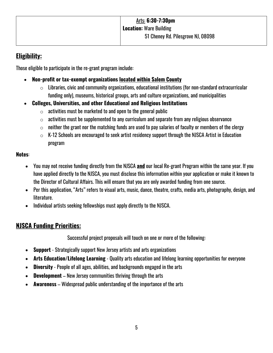### **Eligibility:**

Those eligible to participate in the re-grant program include:

- **Non-profit or tax-exempt organizations located within Salem County**
	- $\circ$  Libraries, civic and community organizations, educational institutions (for non-standard extracurricular funding only), museums, historical groups, arts and culture organizations, and municipalities
- **Colleges, Universities, and other Educational and Religious Institutions**
	- $\circ$  activities must be marketed to and open to the general public
	- $\circ$  activities must be supplemented to any curriculum and separate from any religious observance
	- $\circ$  neither the grant nor the matching funds are used to pay salaries of faculty or members of the clergy
	- $\circ$  K-12 Schools are encouraged to seek artist residency support through the NJSCA Artist in Education program

#### **Notes**:

- You may not receive funding directly from the NJSCA **and** our local Re-grant Program within the same year. If you have applied directly to the NJSCA, you must disclose this information within your application or make it known to the Director of Cultural Affairs. This will ensure that you are only awarded funding from one source.
- Per this application, "Arts" refers to visual arts, music, dance, theatre, crafts, media arts, photography, design, and literature.
- Individual artists seeking fellowships must apply directly to the NJSCA.

# **NJSCA Funding Priorities:**

Successful project proposals will touch on one or more of the following:

- **Support** Strategically support New Jersey artists and arts organizations
- **Arts Education/Lifelong Learning** Quality arts education and lifelong learning opportunities for everyone
- **Diversity** People of all ages, abilities, and backgrounds engaged in the arts
- **Development** New Jersey communities thriving through the arts
- **Awareness** Widespread public understanding of the importance of the arts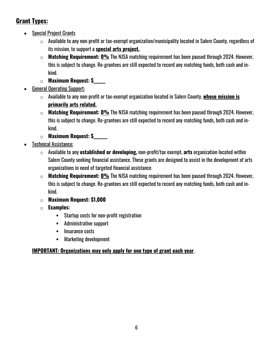# **Grant Types:**

- Special Project Grants
	- $\circ$  Available to any non-profit or tax-exempt organization/municipality located in Salem County, regardless of its mission, to support a **special arts project.**
	- o **Matching Requirement: 0%** The NJSA matching requirement has been paused through 2024. However, this is subject to change. Re-grantees are still expected to record any matching funds, both cash and inkind.
	- o **Maximum Request: \$\_\_\_\_\_\_**
- General Operating Support:
	- o Available to any non-profit or tax-exempt organization located in Salem County, **whose mission is primarily arts related.**
	- o **Matching Requirement: 0%** The NJSA matching requirement has been paused through 2024. However, this is subject to change. Re-grantees are still expected to record any matching funds, both cash and inkind.
	- o **Maximum Request: \$\_\_\_\_\_\_\_**
- Technical Assistance:
	- o Available to any **established or developing,** non-profit/tax exempt, **arts** organization located within Salem County seeking financial assistance. These grants are designed to assist in the development of arts organizations in need of targeted financial assistance.
	- o **Matching Requirement: 0%** The NJSA matching requirement has been paused through 2024. However, this is subject to change. Re-grantees are still expected to record any matching funds, both cash and inkind.
	- o **Maximum Request: \$1,000**
	- o **Examples:**
		- § Startup costs for non-profit registration
		- § Administrative support
		- Insurance costs
		- § Marketing development

#### **IMPORTANT: Organizations may only apply for one type of grant each year**.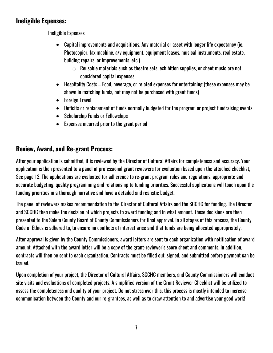#### **Ineligible Expenses:**

Ineligible Expenses

- Capital improvements and acquisitions. Any material or asset with longer life expectancy (ie. Photocopier, fax machine, a/v equipment, equipment leases, musical instruments, real estate, building repairs, or improvements, etc.)
	- $\circ$  Reusable materials such as theatre sets, exhibition supplies, or sheet music are not considered capital expenses
- Hospitality Costs Food, beverage, or related expenses for entertaining (these expenses may be shown in matching funds, but may not be purchased with grant funds)
- Foreign Travel
- Deficits or replacement of funds normally budgeted for the program or project fundraising events
- Scholarship Funds or Fellowships
- Expenses incurred prior to the grant period

# **Review, Award, and Re-grant Process:**

After your application is submitted, it is reviewed by the Director of Cultural Affairs for completeness and accuracy. Your application is then presented to a panel of professional grant reviewers for evaluation based upon the attached checklist, See page 12. The applications are evaluated for adherence to re-grant program rules and regulations, appropriate and accurate budgeting, quality programming and relationship to funding priorities. Successful applications will touch upon the funding priorities in a thorough narrative and have a detailed and realistic budget.

The panel of reviewers makes recommendation to the Director of Cultural Affairs and the SCCHC for funding. The Director and SCCHC then make the decision of which projects to award funding and in what amount. These decisions are then presented to the Salem County Board of County Commissioners for final approval. In all stages of this process, the County Code of Ethics is adhered to, to ensure no conflicts of interest arise and that funds are being allocated appropriately.

After approval is given by the County Commissioners, award letters are sent to each organization with notification of award amount. Attached with the award letter will be a copy of the grant-reviewer's score sheet and comments. In addition, contracts will then be sent to each organization. Contracts must be filled out, signed, and submitted before payment can be issued.

Upon completion of your project, the Director of Cultural Affairs, SCCHC members, and County Commissioners will conduct site visits and evaluations of completed projects. A simplified version of the Grant Reviewer Checklist will be utilized to assess the completeness and quality of your project. Do not stress over this; this process is mostly intended to increase communication between the County and our re-grantees, as well as to draw attention to and advertise your good work!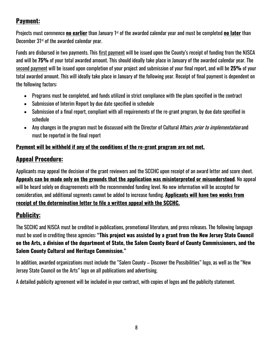# **Payment:**

Projects must commence **no earlier** than January 1st of the awarded calendar year and must be completed **no later** than December 31<sup>st</sup> of the awarded calendar year.

Funds are disbursed in two payments. This first payment will be issued upon the County's receipt of funding from the NJSCA and will be **75%** of your total awarded amount. This should ideally take place in January of the awarded calendar year. The second payment will be issued upon completion of your project and submission of your final report, and will be **25%** of your total awarded amount. This will ideally take place in January of the following year. Receipt of final payment is dependent on the following factors:

- Programs must be completed, and funds utilized in strict compliance with the plans specified in the contract
- Submission of Interim Report by due date specified in schedule
- Submission of a final report, compliant with all requirements of the re-grant program, by due date specified in schedule
- Any changes in the program must be discussed with the Director of Cultural Affairs *prior to implementation* and must be reported in the final report

#### **Payment will be withheld if any of the conditions of the re-grant program are not met.**

# **Appeal Procedure:**

Applicants may appeal the decision of the grant reviewers and the SCCHC upon receipt of an award letter and score sheet. **Appeals can be made only on the grounds that the application was misinterpreted or misunderstood**. No appeal will be heard solely on disagreements with the recommended funding level. No new information will be accepted for consideration, and additional segments cannot be added to increase funding. **Applicants will have two weeks from receipt of the determination letter to file a written appeal with the SCCHC.** 

# **Publicity:**

The SCCHC and NJSCA must be credited in publications, promotional literature, and press releases. The following language must be used in crediting these agencies: **"This project was assisted by a grant from the New Jersey State Council on the Arts, a division of the department of State, the Salem County Board of County Commissioners, and the Salem County Cultural and Heritage Commission."**

In addition, awarded organizations must include the "Salem County – Discover the Possibilities" logo, as well as the "New Jersey State Council on the Arts" logo on all publications and advertising.

A detailed publicity agreement will be included in your contract, with copies of logos and the publicity statement.